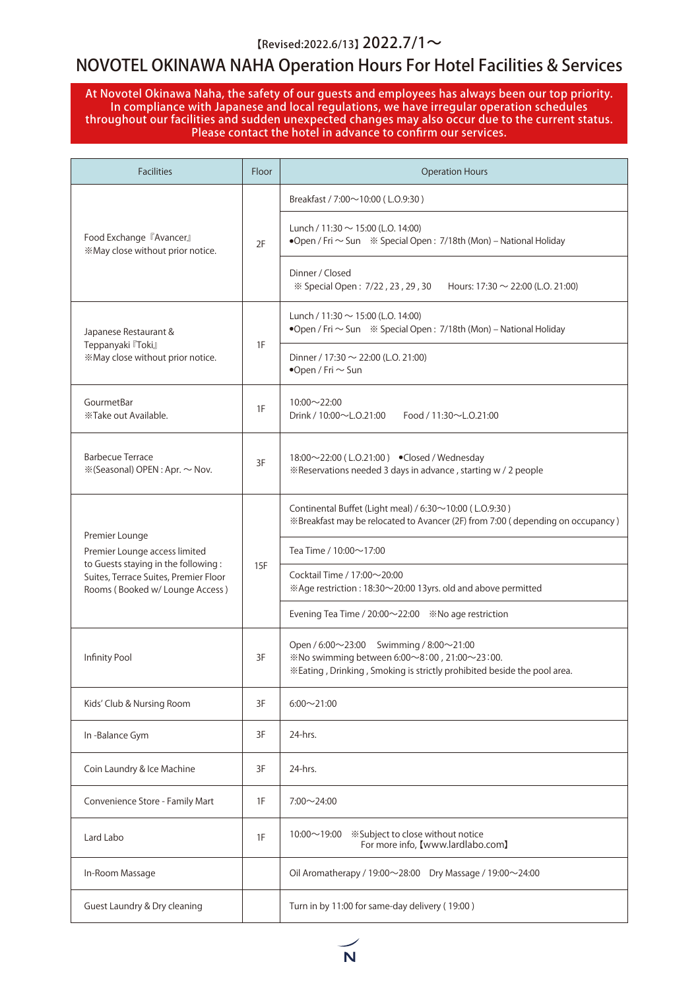#### $[Revised: 2022.6/13]$  2022.7/1~

## NOVOTEL OKINAWA NAHA Operation Hours For Hotel Facilities & Services

At Novotel Okinawa Naha, the safety of our guests and employees has always been our top priority. In compliance with Japanese and local regulations, we have irregular operation schedules throughout our facilities and sudden unexpected changes may also occur due to the current status. Please contact the hotel in advance to confirm our services.

| <b>Facilities</b>                                                                                                                                                 | Floor | <b>Operation Hours</b>                                                                                                                                             |
|-------------------------------------------------------------------------------------------------------------------------------------------------------------------|-------|--------------------------------------------------------------------------------------------------------------------------------------------------------------------|
|                                                                                                                                                                   |       | Breakfast / 7:00~10:00 (L.O.9:30)                                                                                                                                  |
| Food Exchange 『Avancer』<br>*May close without prior notice.                                                                                                       | 2F    | Lunch / 11:30 $\sim$ 15:00 (L.O. 14:00)                                                                                                                            |
|                                                                                                                                                                   |       | Dinner / Closed<br>※ Special Open: 7/22, 23, 29, 30 Hours: 17:30 ~ 22:00 (L.O. 21:00)                                                                              |
| Japanese Restaurant &<br>Teppanyaki <sup>[Toki]</sup><br>*May close without prior notice.                                                                         | 1F    | Lunch / 11:30 $\sim$ 15:00 (L.O. 14:00)                                                                                                                            |
|                                                                                                                                                                   |       | Dinner / 17:30 $\sim$ 22:00 (L.O. 21:00)<br>$\bullet$ Open / Fri $\sim$ Sun                                                                                        |
| GourmetBar<br>*Take out Available.                                                                                                                                | 1F    | $10:00 \sim 22:00$<br>Drink / $10:00 \sim L.0.21:00$<br>Food / 11:30 $\sim$ L.O.21:00                                                                              |
| <b>Barbecue Terrace</b><br>※(Seasonal) OPEN : Apr. ~ Nov.                                                                                                         | 3F    | 18:00~22:00 (L.O.21:00) Closed / Wednesday<br>«Reservations needed 3 days in advance, starting w / 2 people                                                        |
| Premier Lounge<br>Premier Lounge access limited<br>to Guests staying in the following:<br>Suites, Terrace Suites, Premier Floor<br>Rooms (Booked w/Lounge Access) | 15F   | Continental Buffet (Light meal) / 6:30~10:00 (L.O.9:30)<br>※Breakfast may be relocated to Avancer (2F) from 7:00 (depending on occupancy)                          |
|                                                                                                                                                                   |       | Tea Time / 10:00~17:00                                                                                                                                             |
|                                                                                                                                                                   |       | Cocktail Time / $17:00 \sim 20:00$<br>※Age restriction: 18:30~20:00 13yrs. old and above permitted                                                                 |
|                                                                                                                                                                   |       |                                                                                                                                                                    |
| Infinity Pool                                                                                                                                                     | 3F    | Open / 6:00~23:00 Swimming / 8:00~21:00<br>※No swimming between 6:00~8:00, 21:00~23:00.<br>*Eating, Drinking, Smoking is strictly prohibited beside the pool area. |
| Kids' Club & Nursing Room                                                                                                                                         | 3F    | $6:00 \sim 21:00$                                                                                                                                                  |
| In-Balance Gym                                                                                                                                                    | 3F    | 24-hrs.                                                                                                                                                            |
| Coin Laundry & Ice Machine                                                                                                                                        | 3F    | 24-hrs.                                                                                                                                                            |
| Convenience Store - Family Mart                                                                                                                                   | 1F    | $7:00 \sim 24:00$                                                                                                                                                  |
| Lard Labo                                                                                                                                                         | 1F    | $10:00 \sim 19:00$<br>*Subject to close without notice<br>For more info, [www.lardlabo.com]                                                                        |
| In-Room Massage                                                                                                                                                   |       | Oil Aromatherapy / 19:00 $\sim$ 28:00 Dry Massage / 19:00 $\sim$ 24:00                                                                                             |
| Guest Laundry & Dry cleaning                                                                                                                                      |       | Turn in by 11:00 for same-day delivery (19:00)                                                                                                                     |